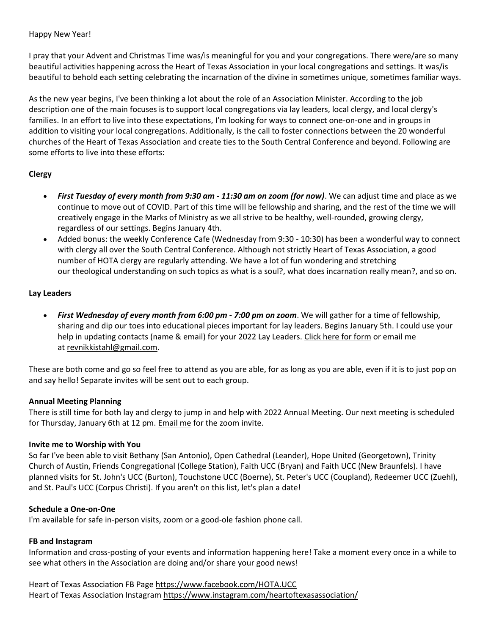Happy New Year!

I pray that your Advent and Christmas Time was/is meaningful for you and your congregations. There were/are so many beautiful activities happening across the Heart of Texas Association in your local congregations and settings. It was/is beautiful to behold each setting celebrating the incarnation of the divine in sometimes unique, sometimes familiar ways.

As the new year begins, I've been thinking a lot about the role of an Association Minister. According to the job description one of the main focuses is to support local congregations via lay leaders, local clergy, and local clergy's families. In an effort to live into these expectations, I'm looking for ways to connect one-on-one and in groups in addition to visiting your local congregations. Additionally, is the call to foster connections between the 20 wonderful churches of the Heart of Texas Association and create ties to the South Central Conference and beyond. Following are some efforts to live into these efforts:

## **Clergy**

- *First Tuesday of every month from 9:30 am - 11:30 am on zoom (for now)*. We can adjust time and place as we continue to move out of COVID. Part of this time will be fellowship and sharing, and the rest of the time we will creatively engage in the Marks of Ministry as we all strive to be healthy, well-rounded, growing clergy, regardless of our settings. Begins January 4th.
- Added bonus: the weekly Conference Cafe (Wednesday from 9:30 10:30) has been a wonderful way to connect with clergy all over the South Central Conference. Although not strictly Heart of Texas Association, a good number of HOTA clergy are regularly attending. We have a lot of fun wondering and stretching our theological understanding on such topics as what is a soul?, what does incarnation really mean?, and so on.

### **Lay Leaders**

• *First Wednesday of every month from 6:00 pm - 7:00 pm on zoom*. We will gather for a time of fellowship, sharing and dip our toes into educational pieces important for lay leaders. Begins January 5th. I could use your help in updating contacts (name & email) for your 2022 Lay Leaders. Click here for form or email me at revnikkistahl@gmail.com.

These are both come and go so feel free to attend as you are able, for as long as you are able, even if it is to just pop on and say hello! Separate invites will be sent out to each group.

### **Annual Meeting Planning**

There is still time for both lay and clergy to jump in and help with 2022 Annual Meeting. Our next meeting is scheduled for Thursday, January 6th at 12 pm. Email me for the zoom invite.

### **Invite me to Worship with You**

So far I've been able to visit Bethany (San Antonio), Open Cathedral (Leander), Hope United (Georgetown), Trinity Church of Austin, Friends Congregational (College Station), Faith UCC (Bryan) and Faith UCC (New Braunfels). I have planned visits for St. John's UCC (Burton), Touchstone UCC (Boerne), St. Peter's UCC (Coupland), Redeemer UCC (Zuehl), and St. Paul's UCC (Corpus Christi). If you aren't on this list, let's plan a date!

### **Schedule a One-on-One**

I'm available for safe in-person visits, zoom or a good-ole fashion phone call.

# **FB and Instagram**

Information and cross-posting of your events and information happening here! Take a moment every once in a while to see what others in the Association are doing and/or share your good news!

Heart of Texas Association FB Page https://www.facebook.com/HOTA.UCC Heart of Texas Association Instagram https://www.instagram.com/heartoftexasassociation/